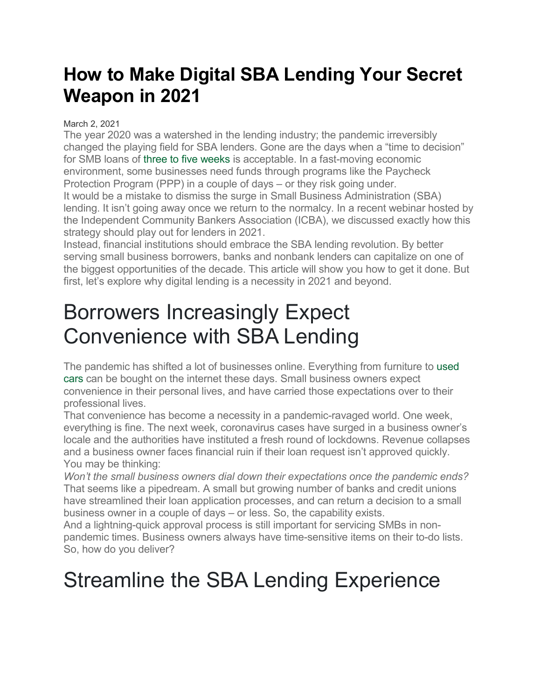### **How to Make Digital SBA Lending Your Secret Weapon in 2021**

#### March 2, 2021

The year 2020 was a watershed in the lending industry; the pandemic irreversibly changed the playing field for SBA lenders. Gone are the days when a "time to decision" for SMB loans of three to five [weeks](https://www.mckinsey.com/business-functions/risk/our-insights/the-future-of-risk-management-in-the-digital-era) is acceptable. In a fast-moving economic environment, some businesses need funds through programs like the Paycheck Protection Program (PPP) in a couple of days – or they risk going under. It would be a mistake to dismiss the surge in Small Business Administration (SBA) lending. It isn't going away once we return to the normalcy. In a recent webinar hosted by the Independent Community Bankers Association (ICBA), we discussed exactly how this strategy should play out for lenders in 2021.

Instead, financial institutions should embrace the SBA lending revolution. By better serving small business borrowers, banks and nonbank lenders can capitalize on one of the biggest opportunities of the decade. This article will show you how to get it done. But first, let's explore why digital lending is a necessity in 2021 and beyond.

## Borrowers Increasingly Expect Convenience with SBA Lending

The pandemic has shifted a lot of businesses online. Everything from furniture to [used](https://www.cnbc.com/2021/02/06/super-bowl-ad-vroom-promises-torture-free-car-buying-.html) [cars](https://www.cnbc.com/2021/02/06/super-bowl-ad-vroom-promises-torture-free-car-buying-.html) can be bought on the internet these days. Small business owners expect convenience in their personal lives, and have carried those expectations over to their professional lives.

That convenience has become a necessity in a pandemic-ravaged world. One week, everything is fine. The next week, coronavirus cases have surged in a business owner's locale and the authorities have instituted a fresh round of lockdowns. Revenue collapses and a business owner faces financial ruin if their loan request isn't approved quickly. You may be thinking:

*Won't the small business owners dial down their expectations once the pandemic ends?* That seems like a pipedream. A small but growing number of banks and credit unions have streamlined their loan application processes, and can return a decision to a small business owner in a couple of days – or less. So, the capability exists.

And a lightning-quick approval process is still important for servicing SMBs in nonpandemic times. Business owners always have time-sensitive items on their to-do lists. So, how do you deliver?

# Streamline the SBA Lending Experience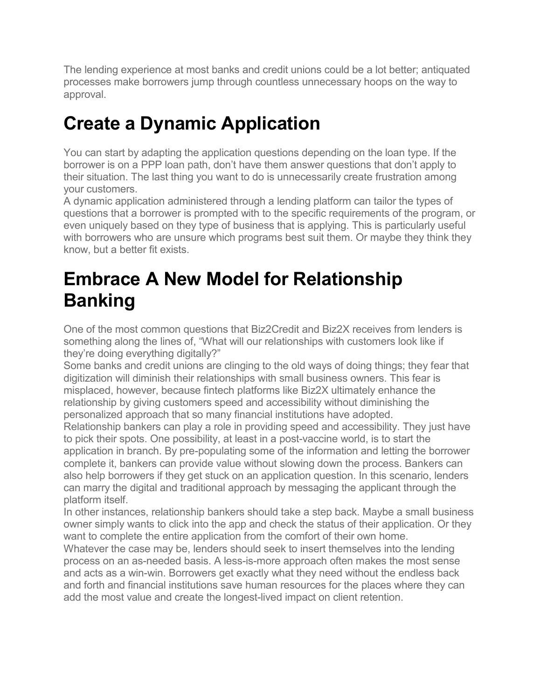The lending experience at most banks and credit unions could be a lot better; antiquated processes make borrowers jump through countless unnecessary hoops on the way to approval.

## **Create a Dynamic Application**

You can start by adapting the application questions depending on the loan type. If the borrower is on a PPP loan path, don't have them answer questions that don't apply to their situation. The last thing you want to do is unnecessarily create frustration among your customers.

A dynamic application administered through a lending platform can tailor the types of questions that a borrower is prompted with to the specific requirements of the program, or even uniquely based on they type of business that is applying. This is particularly useful with borrowers who are unsure which programs best suit them. Or maybe they think they know, but a better fit exists.

#### **Embrace A New Model for Relationship Banking**

One of the most common questions that Biz2Credit and Biz2X receives from lenders is something along the lines of, "What will our relationships with customers look like if they're doing everything digitally?"

Some banks and credit unions are clinging to the old ways of doing things; they fear that digitization will diminish their relationships with small business owners. This fear is misplaced, however, because fintech platforms like Biz2X ultimately enhance the relationship by giving customers speed and accessibility without diminishing the personalized approach that so many financial institutions have adopted.

Relationship bankers can play a role in providing speed and accessibility. They just have to pick their spots. One possibility, at least in a post-vaccine world, is to start the application in branch. By pre-populating some of the information and letting the borrower complete it, bankers can provide value without slowing down the process. Bankers can also help borrowers if they get stuck on an application question. In this scenario, lenders can marry the digital and traditional approach by messaging the applicant through the platform itself.

In other instances, relationship bankers should take a step back. Maybe a small business owner simply wants to click into the app and check the status of their application. Or they want to complete the entire application from the comfort of their own home.

Whatever the case may be, lenders should seek to insert themselves into the lending process on an as-needed basis. A less-is-more approach often makes the most sense and acts as a win-win. Borrowers get exactly what they need without the endless back and forth and financial institutions save human resources for the places where they can add the most value and create the longest-lived impact on client retention.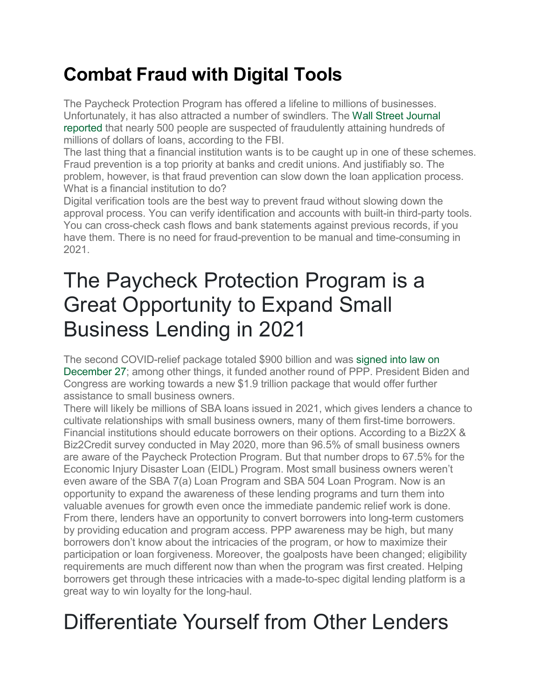## **Combat Fraud with Digital Tools**

The Paycheck Protection Program has offered a lifeline to millions of businesses. Unfortunately, it has also attracted a number of swindlers. The Wall Street [Journal](https://www.wsj.com/articles/ppp-was-a-fraudster-free-for-all-investigators-say-11604832072) [reported](https://www.wsj.com/articles/ppp-was-a-fraudster-free-for-all-investigators-say-11604832072) that nearly 500 people are suspected of fraudulently attaining hundreds of millions of dollars of loans, according to the FBI.

The last thing that a financial institution wants is to be caught up in one of these schemes. Fraud prevention is a top priority at banks and credit unions. And justifiably so. The problem, however, is that fraud prevention can slow down the loan application process. What is a financial institution to do?

Digital verification tools are the best way to prevent fraud without slowing down the approval process. You can verify identification and accounts with built-in third-party tools. You can cross-check cash flows and bank statements against previous records, if you have them. There is no need for fraud-prevention to be manual and time-consuming in 2021.

## The Paycheck Protection Program is a Great Opportunity to Expand Small Business Lending in 2021

The second COVID-relief package totaled \$900 billion and was [signed](https://www.biz2credit.com/blog/2021/01/04/new-paycheck-protection-program-loans-and-covid-19-relief-for-small-businesses/) into law on [December](https://www.biz2credit.com/blog/2021/01/04/new-paycheck-protection-program-loans-and-covid-19-relief-for-small-businesses/) 27; among other things, it funded another round of PPP. President Biden and Congress are working towards a new \$1.9 trillion package that would offer further assistance to small business owners.

There will likely be millions of SBA loans issued in 2021, which gives lenders a chance to cultivate relationships with small business owners, many of them first-time borrowers. Financial institutions should educate borrowers on their options. According to a Biz2X & Biz2Credit survey conducted in May 2020, more than 96.5% of small business owners are aware of the Paycheck Protection Program. But that number drops to 67.5% for the Economic Injury Disaster Loan (EIDL) Program. Most small business owners weren't even aware of the SBA 7(a) Loan Program and SBA 504 Loan Program. Now is an opportunity to expand the awareness of these lending programs and turn them into valuable avenues for growth even once the immediate pandemic relief work is done. From there, lenders have an opportunity to convert borrowers into long-term customers by providing education and program access. PPP awareness may be high, but many borrowers don't know about the intricacies of the program, or how to maximize their participation or loan forgiveness. Moreover, the goalposts have been changed; eligibility requirements are much different now than when the program was first created. Helping borrowers get through these intricacies with a made-to-spec digital lending platform is a great way to win loyalty for the long-haul.

# Differentiate Yourself from Other Lenders